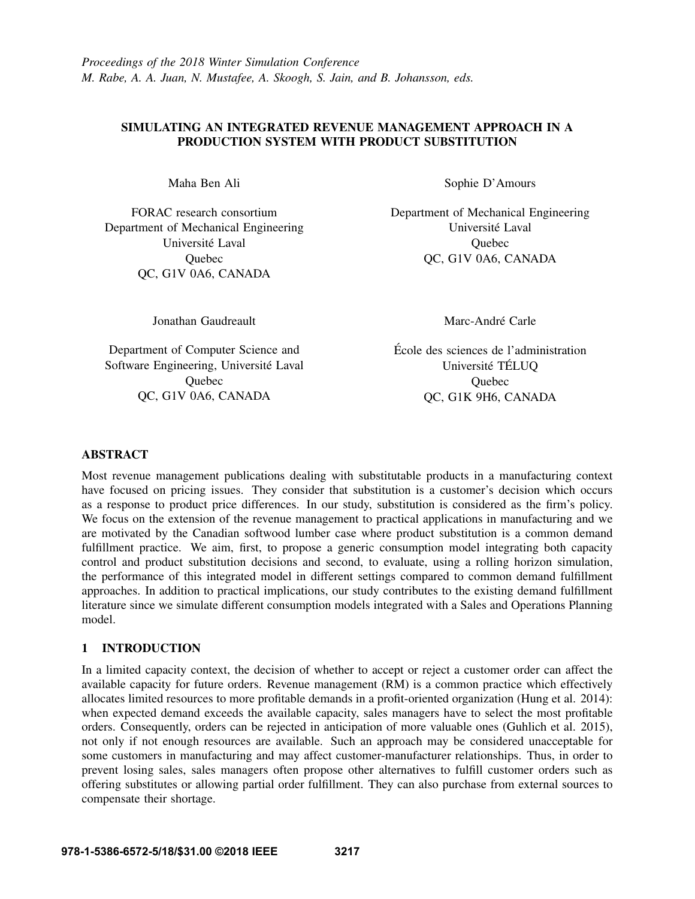## SIMULATING AN INTEGRATED REVENUE MANAGEMENT APPROACH IN A PRODUCTION SYSTEM WITH PRODUCT SUBSTITUTION

Maha Ben Ali

FORAC research consortium Department of Mechanical Engineering Université Laval **Ouebec** QC, G1V 0A6, CANADA

Sophie D'Amours

Department of Mechanical Engineering Université Laval **Ouebec** QC, G1V 0A6, CANADA

Jonathan Gaudreault

Department of Computer Science and Software Engineering, Université Laval **Ouebec** QC, G1V 0A6, CANADA

Marc-André Carle

Ecole des sciences de l'administration ´ Université TÉLUQ Quebec QC, G1K 9H6, CANADA

## ABSTRACT

Most revenue management publications dealing with substitutable products in a manufacturing context have focused on pricing issues. They consider that substitution is a customer's decision which occurs as a response to product price differences. In our study, substitution is considered as the firm's policy. We focus on the extension of the revenue management to practical applications in manufacturing and we are motivated by the Canadian softwood lumber case where product substitution is a common demand fulfillment practice. We aim, first, to propose a generic consumption model integrating both capacity control and product substitution decisions and second, to evaluate, using a rolling horizon simulation, the performance of this integrated model in different settings compared to common demand fulfillment approaches. In addition to practical implications, our study contributes to the existing demand fulfillment literature since we simulate different consumption models integrated with a Sales and Operations Planning model.

# 1 INTRODUCTION

In a limited capacity context, the decision of whether to accept or reject a customer order can affect the available capacity for future orders. Revenue management (RM) is a common practice which effectively allocates limited resources to more profitable demands in a profit-oriented organization (Hung et al. 2014): when expected demand exceeds the available capacity, sales managers have to select the most profitable orders. Consequently, orders can be rejected in anticipation of more valuable ones (Guhlich et al. 2015), not only if not enough resources are available. Such an approach may be considered unacceptable for some customers in manufacturing and may affect customer-manufacturer relationships. Thus, in order to prevent losing sales, sales managers often propose other alternatives to fulfill customer orders such as offering substitutes or allowing partial order fulfillment. They can also purchase from external sources to compensate their shortage.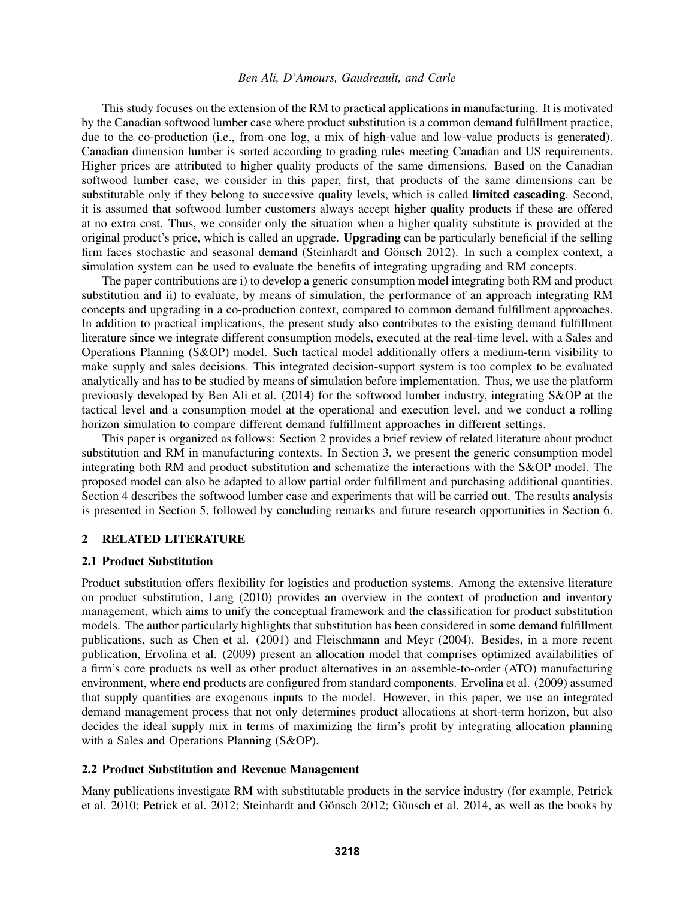This study focuses on the extension of the RM to practical applications in manufacturing. It is motivated by the Canadian softwood lumber case where product substitution is a common demand fulfillment practice, due to the co-production (i.e., from one log, a mix of high-value and low-value products is generated). Canadian dimension lumber is sorted according to grading rules meeting Canadian and US requirements. Higher prices are attributed to higher quality products of the same dimensions. Based on the Canadian softwood lumber case, we consider in this paper, first, that products of the same dimensions can be substitutable only if they belong to successive quality levels, which is called limited cascading. Second, it is assumed that softwood lumber customers always accept higher quality products if these are offered at no extra cost. Thus, we consider only the situation when a higher quality substitute is provided at the original product's price, which is called an upgrade. Upgrading can be particularly beneficial if the selling firm faces stochastic and seasonal demand (Steinhardt and Gönsch 2012). In such a complex context, a simulation system can be used to evaluate the benefits of integrating upgrading and RM concepts.

The paper contributions are i) to develop a generic consumption model integrating both RM and product substitution and ii) to evaluate, by means of simulation, the performance of an approach integrating RM concepts and upgrading in a co-production context, compared to common demand fulfillment approaches. In addition to practical implications, the present study also contributes to the existing demand fulfillment literature since we integrate different consumption models, executed at the real-time level, with a Sales and Operations Planning (S&OP) model. Such tactical model additionally offers a medium-term visibility to make supply and sales decisions. This integrated decision-support system is too complex to be evaluated analytically and has to be studied by means of simulation before implementation. Thus, we use the platform previously developed by Ben Ali et al. (2014) for the softwood lumber industry, integrating S&OP at the tactical level and a consumption model at the operational and execution level, and we conduct a rolling horizon simulation to compare different demand fulfillment approaches in different settings.

This paper is organized as follows: Section 2 provides a brief review of related literature about product substitution and RM in manufacturing contexts. In Section 3, we present the generic consumption model integrating both RM and product substitution and schematize the interactions with the S&OP model. The proposed model can also be adapted to allow partial order fulfillment and purchasing additional quantities. Section 4 describes the softwood lumber case and experiments that will be carried out. The results analysis is presented in Section 5, followed by concluding remarks and future research opportunities in Section 6.

### 2 RELATED LITERATURE

### 2.1 Product Substitution

Product substitution offers flexibility for logistics and production systems. Among the extensive literature on product substitution, Lang (2010) provides an overview in the context of production and inventory management, which aims to unify the conceptual framework and the classification for product substitution models. The author particularly highlights that substitution has been considered in some demand fulfillment publications, such as Chen et al. (2001) and Fleischmann and Meyr (2004). Besides, in a more recent publication, Ervolina et al. (2009) present an allocation model that comprises optimized availabilities of a firm's core products as well as other product alternatives in an assemble-to-order (ATO) manufacturing environment, where end products are configured from standard components. Ervolina et al. (2009) assumed that supply quantities are exogenous inputs to the model. However, in this paper, we use an integrated demand management process that not only determines product allocations at short-term horizon, but also decides the ideal supply mix in terms of maximizing the firm's profit by integrating allocation planning with a Sales and Operations Planning (S&OP).

### 2.2 Product Substitution and Revenue Management

Many publications investigate RM with substitutable products in the service industry (for example, Petrick et al. 2010; Petrick et al. 2012; Steinhardt and Gönsch 2012; Gönsch et al. 2014, as well as the books by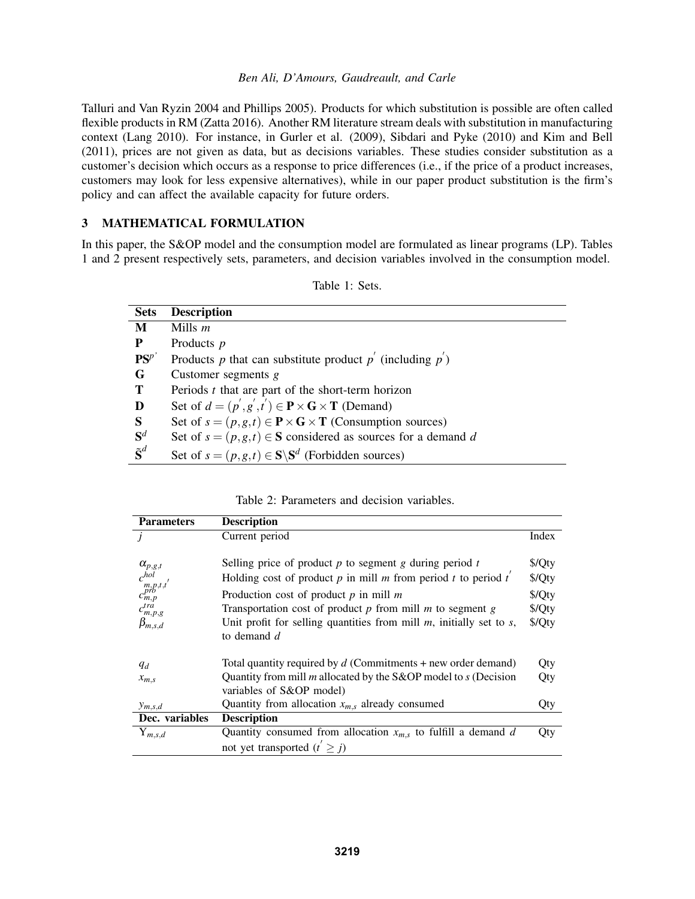Talluri and Van Ryzin 2004 and Phillips 2005). Products for which substitution is possible are often called flexible products in RM (Zatta 2016). Another RM literature stream deals with substitution in manufacturing context (Lang 2010). For instance, in Gurler et al. (2009), Sibdari and Pyke (2010) and Kim and Bell (2011), prices are not given as data, but as decisions variables. These studies consider substitution as a customer's decision which occurs as a response to price differences (i.e., if the price of a product increases, customers may look for less expensive alternatives), while in our paper product substitution is the firm's policy and can affect the available capacity for future orders.

# 3 MATHEMATICAL FORMULATION

In this paper, the S&OP model and the consumption model are formulated as linear programs (LP). Tables 1 and 2 present respectively sets, parameters, and decision variables involved in the consumption model.

| <b>Sets</b>            | <b>Description</b>                                                                              |
|------------------------|-------------------------------------------------------------------------------------------------|
| M                      | Mills $m$                                                                                       |
| P                      | Products $p$                                                                                    |
| $PS^{p'}$              | Products p that can substitute product $p'$ (including $p'$ )                                   |
| G                      | Customer segments $g$                                                                           |
| T                      | Periods $t$ that are part of the short-term horizon                                             |
| D                      | Set of $d = (p', g', t') \in \mathbf{P} \times \mathbf{G} \times \mathbf{T}$ (Demand)           |
| S                      | Set of $s = (p, g, t) \in \mathbf{P} \times \mathbf{G} \times \mathbf{T}$ (Consumption sources) |
| $S^d$                  | Set of $s = (p, g, t) \in S$ considered as sources for a demand d                               |
| $\tilde{\textbf{S}}^d$ | Set of $s = (p, g, t) \in S \backslash S^d$ (Forbidden sources)                                 |

| Table 1: Sets. |
|----------------|
|                |

Table 2: Parameters and decision variables.

| <b>Parameters</b>                                          | <b>Description</b>                                                        |            |
|------------------------------------------------------------|---------------------------------------------------------------------------|------------|
|                                                            | Current period                                                            | Index      |
|                                                            |                                                                           |            |
|                                                            | Selling price of product $p$ to segment $g$ during period $t$             | \$/Qty     |
| $\alpha_{p,g,t}$<br>$c_{m,p,t,t}^{hol}$<br>$c_{m,p}^{pro}$ | Holding cost of product $p$ in mill $m$ from period $t$ to period $t'$    | \$/Qty     |
|                                                            | Production cost of product $p$ in mill $m$                                | \$/Qty     |
| $c_{m,p,g}^{tra}$                                          | Transportation cost of product $p$ from mill $m$ to segment $g$           | \$/Qty     |
| $\beta_{m,s,d}$                                            | Unit profit for selling quantities from mill $m$ , initially set to $s$ , | \$/Qty     |
|                                                            | to demand $d$                                                             |            |
|                                                            |                                                                           |            |
| $q_d$                                                      | Total quantity required by $d$ (Commitments + new order demand)           | Qty        |
| $x_{m,s}$                                                  | Quantity from mill $m$ allocated by the S&OP model to $s$ (Decision       | Qty        |
|                                                            | variables of S&OP model)                                                  |            |
| $y_{m,s,d}$                                                | Quantity from allocation $x_{m,s}$ already consumed                       | Qty        |
| Dec. variables                                             | <b>Description</b>                                                        |            |
| $Y_{m,s,d}$                                                | Quantity consumed from allocation $x_{m,s}$ to fulfill a demand d         | <b>Qty</b> |
|                                                            | not yet transported $(t' \geq j)$                                         |            |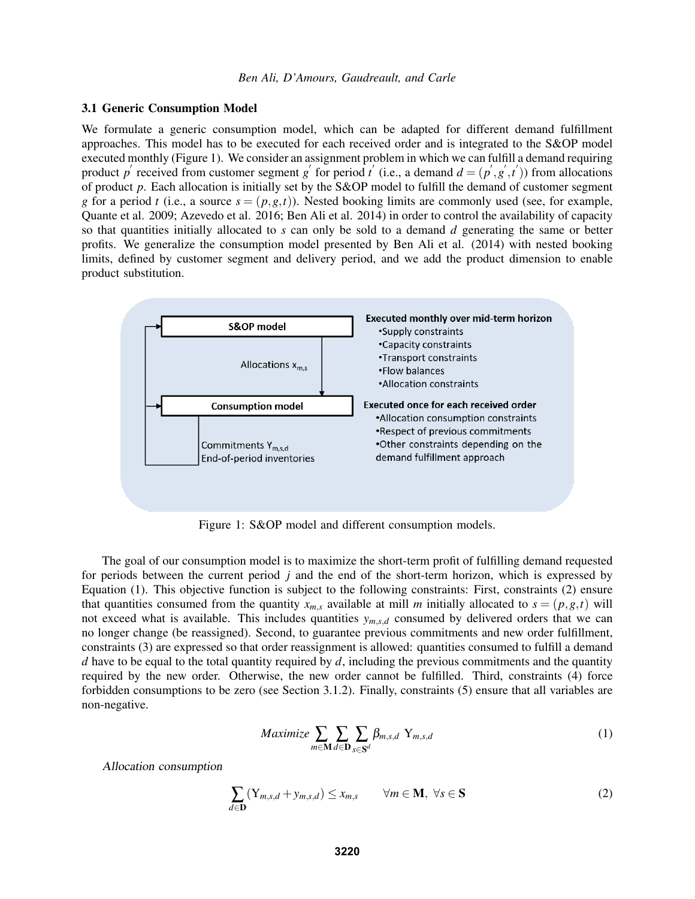#### 3.1 Generic Consumption Model

We formulate a generic consumption model, which can be adapted for different demand fulfillment approaches. This model has to be executed for each received order and is integrated to the S&OP model executed monthly (Figure 1). We consider an assignment problem in which we can fulfill a demand requiring product p' received from customer segment g' for period t' (i.e., a demand  $d = (p', g', t')$ ) from allocations of product *p*. Each allocation is initially set by the S&OP model to fulfill the demand of customer segment *g* for a period *t* (i.e., a source  $s = (p, g, t)$ ). Nested booking limits are commonly used (see, for example, Quante et al. 2009; Azevedo et al. 2016; Ben Ali et al. 2014) in order to control the availability of capacity so that quantities initially allocated to *s* can only be sold to a demand *d* generating the same or better profits. We generalize the consumption model presented by Ben Ali et al. (2014) with nested booking limits, defined by customer segment and delivery period, and we add the product dimension to enable product substitution.



Figure 1: S&OP model and different consumption models.

The goal of our consumption model is to maximize the short-term profit of fulfilling demand requested for periods between the current period *j* and the end of the short-term horizon, which is expressed by Equation (1). This objective function is subject to the following constraints: First, constraints (2) ensure that quantities consumed from the quantity  $x_{m,s}$  available at mill *m* initially allocated to  $s = (p, g, t)$  will not exceed what is available. This includes quantities  $y_{m,s,d}$  consumed by delivered orders that we can no longer change (be reassigned). Second, to guarantee previous commitments and new order fulfillment, constraints (3) are expressed so that order reassignment is allowed: quantities consumed to fulfill a demand *d* have to be equal to the total quantity required by *d*, including the previous commitments and the quantity required by the new order. Otherwise, the new order cannot be fulfilled. Third, constraints (4) force forbidden consumptions to be zero (see Section 3.1.2). Finally, constraints (5) ensure that all variables are non-negative.

$$
Maximize \sum_{m \in \mathbf{M}} \sum_{d \in \mathbf{D}} \sum_{s \in \mathbf{S}^d} \beta_{m,s,d} Y_{m,s,d}
$$
 (1)

Allocation consumption

$$
\sum_{d \in \mathbf{D}} (Y_{m,s,d} + y_{m,s,d}) \le x_{m,s} \qquad \forall m \in \mathbf{M}, \ \forall s \in \mathbf{S} \tag{2}
$$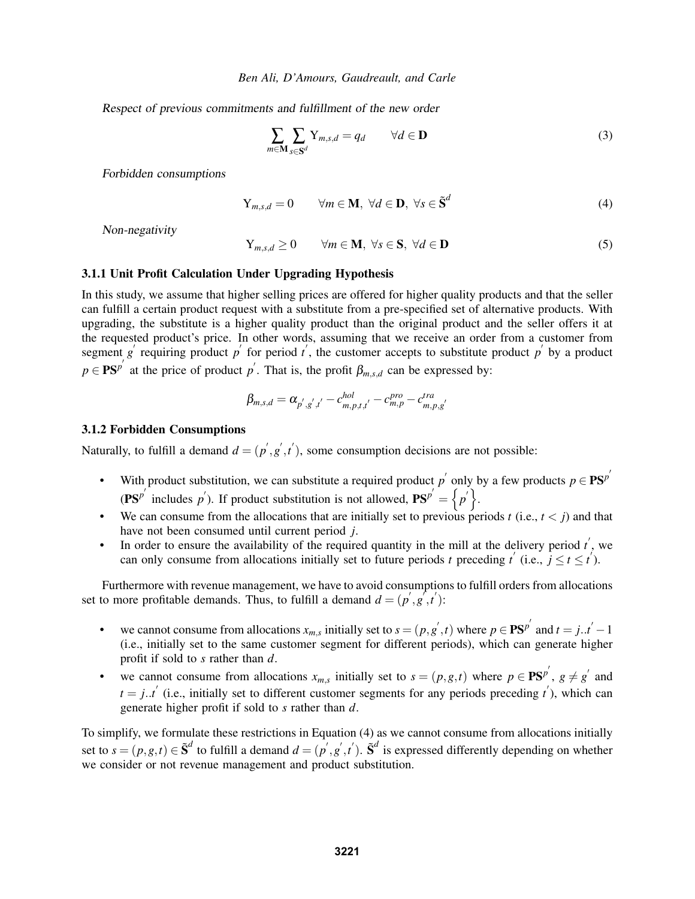Respect of previous commitments and fulfillment of the new order

$$
\sum_{m \in \mathbf{M}} \sum_{s \in \mathbf{S}^d} Y_{m,s,d} = q_d \qquad \forall d \in \mathbf{D}
$$
 (3)

Forbidden consumptions

$$
Y_{m,s,d} = 0 \qquad \forall m \in \mathbf{M}, \ \forall d \in \mathbf{D}, \ \forall s \in \tilde{\mathbf{S}}^d \tag{4}
$$

Non-negativity

$$
Y_{m,s,d} \ge 0 \qquad \forall m \in \mathbf{M}, \ \forall s \in \mathbf{S}, \ \forall d \in \mathbf{D}
$$
 (5)

### 3.1.1 Unit Profit Calculation Under Upgrading Hypothesis

In this study, we assume that higher selling prices are offered for higher quality products and that the seller can fulfill a certain product request with a substitute from a pre-specified set of alternative products. With upgrading, the substitute is a higher quality product than the original product and the seller offers it at the requested product's price. In other words, assuming that we receive an order from a customer from segment *g*<sup> $\prime$ </sup> requiring product *p*<sup> $\prime$ </sup> for period *t*<sup> $\prime$ </sup>, the customer accepts to substitute product *p*<sup> $\prime$ </sup> by a product  $p \in \mathbf{PS}^{p'}$  at the price of product *p*<sup>'</sup>. That is, the profit  $\beta_{m,s,d}$  can be expressed by:

$$
\beta_{m,s,d} = \alpha_{p',g',t'} - c_{m,p,t,t'}^{hol} - c_{m,p}^{pro} - c_{m,p,g'}^{tra}
$$

#### 3.1.2 Forbidden Consumptions

Naturally, to fulfill a demand  $d = (p', g', t')$ , some consumption decisions are not possible:

- With product substitution, we can substitute a required product  $p'$  only by a few products  $p \in \mathbf{P}\mathbf{S}^{p'}$  $(\mathbf{P}\mathbf{S}^{p^{'}}\)$  includes *p*<sup>'</sup>). If product substitution is not allowed,  $\mathbf{P}\mathbf{S}^{p'} = \{p' \}$ .
- We can consume from the allocations that are initially set to previous periods  $t$  (i.e.,  $t < j$ ) and that have not been consumed until current period *j*.
- In order to ensure the availability of the required quantity in the mill at the delivery period  $t'$ , we can only consume from allocations initially set to future periods *t* preceding  $t'$  (i.e.,  $j \le t \le t'$ ).

Furthermore with revenue management, we have to avoid consumptions to fulfill orders from allocations set to more profitable demands. Thus, to fulfill a demand  $d = (p', g', t')$ :

- we cannot consume from allocations  $x_{m,s}$  initially set to  $s = (p, g', t)$  where  $p \in \mathbf{PS}^{p'}$  and  $t = j..t' 1$ (i.e., initially set to the same customer segment for different periods), which can generate higher profit if sold to *s* rather than *d*.
- we cannot consume from allocations  $x_{m,s}$  initially set to  $s = (p, g, t)$  where  $p \in \mathbf{PS}^{p'}$ ,  $g \neq g'$  and  $t = j..t'$  (i.e., initially set to different customer segments for any periods preceding *t*<sup>'</sup>), which can generate higher profit if sold to *s* rather than *d*.

To simplify, we formulate these restrictions in Equation (4) as we cannot consume from allocations initially set to  $s = (p, g, t) \in \tilde{S}^d$  to fulfill a demand  $d = (p', g', t')$ .  $\tilde{S}^d$  is expressed differently depending on whether we consider or not revenue management and product substitution.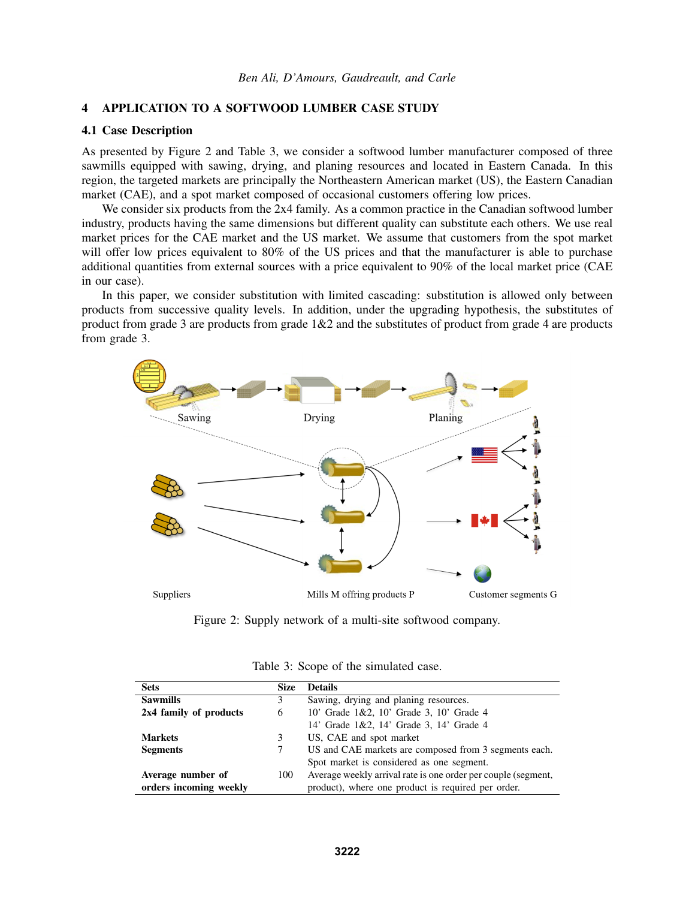# 4 APPLICATION TO A SOFTWOOD LUMBER CASE STUDY

# 4.1 Case Description

As presented by Figure 2 and Table 3, we consider a softwood lumber manufacturer composed of three sawmills equipped with sawing, drying, and planing resources and located in Eastern Canada. In this region, the targeted markets are principally the Northeastern American market (US), the Eastern Canadian market (CAE), and a spot market composed of occasional customers offering low prices.

We consider six products from the 2x4 family. As a common practice in the Canadian softwood lumber industry, products having the same dimensions but different quality can substitute each others. We use real market prices for the CAE market and the US market. We assume that customers from the spot market will offer low prices equivalent to 80% of the US prices and that the manufacturer is able to purchase additional quantities from external sources with a price equivalent to 90% of the local market price (CAE in our case).

In this paper, we consider substitution with limited cascading: substitution is allowed only between products from successive quality levels. In addition, under the upgrading hypothesis, the substitutes of product from grade 3 are products from grade  $1&2$  and the substitutes of product from grade 4 are products from grade 3.



Figure 2: Supply network of a multi-site softwood company.

| <b>Sets</b><br><b>Size</b> |   | <b>Details</b>                                                |  |
|----------------------------|---|---------------------------------------------------------------|--|
| <b>Sawmills</b><br>3       |   | Sawing, drying and planing resources.                         |  |
| 2x4 family of products     | 6 | 10' Grade 1&2, 10' Grade 3, 10' Grade 4                       |  |
|                            |   | 14' Grade 1&2, 14' Grade 3, 14' Grade 4                       |  |
| <b>Markets</b>             | 3 | US, CAE and spot market                                       |  |
| <b>Segments</b>            | 7 | US and CAE markets are composed from 3 segments each.         |  |
|                            |   | Spot market is considered as one segment.                     |  |
| Average number of<br>100   |   | Average weekly arrival rate is one order per couple (segment, |  |
| orders incoming weekly     |   | product), where one product is required per order.            |  |

Table 3: Scope of the simulated case.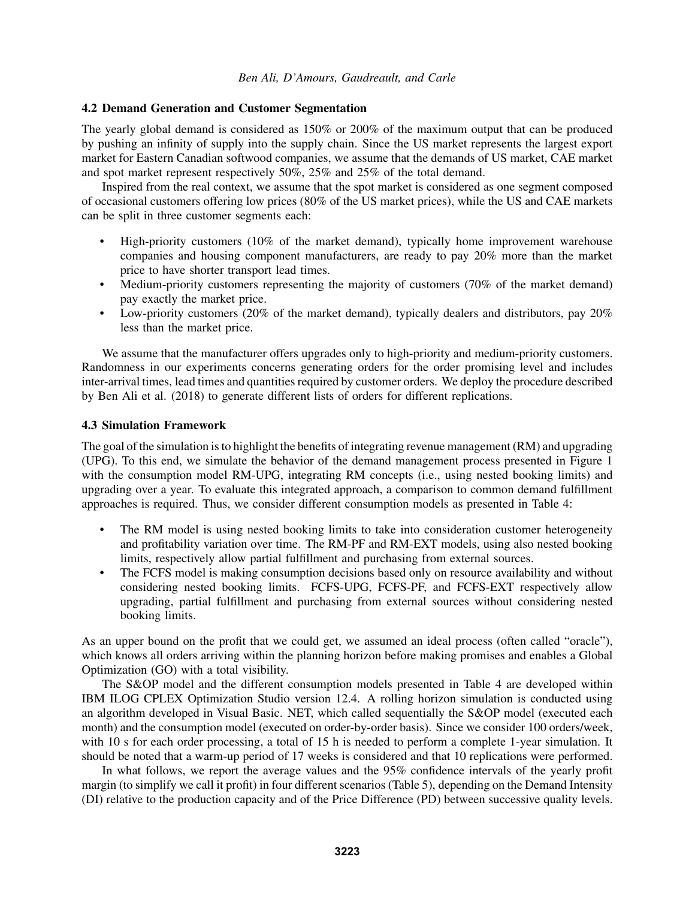## 4.2 Demand Generation and Customer Segmentation

The yearly global demand is considered as 150% or 200% of the maximum output that can be produced by pushing an infinity of supply into the supply chain. Since the US market represents the largest export market for Eastern Canadian softwood companies, we assume that the demands of US market, CAE market and spot market represent respectively 50%, 25% and 25% of the total demand.

Inspired from the real context, we assume that the spot market is considered as one segment composed of occasional customers offering low prices (80% of the US market prices), while the US and CAE markets can be split in three customer segments each:

- High-priority customers (10% of the market demand), typically home improvement warehouse companies and housing component manufacturers, are ready to pay 20% more than the market price to have shorter transport lead times.
- Medium-priority customers representing the majority of customers (70% of the market demand) pay exactly the market price.
- Low-priority customers (20% of the market demand), typically dealers and distributors, pay 20% less than the market price.

We assume that the manufacturer offers upgrades only to high-priority and medium-priority customers. Randomness in our experiments concerns generating orders for the order promising level and includes inter-arrival times, lead times and quantities required by customer orders. We deploy the procedure described by Ben Ali et al. (2018) to generate different lists of orders for different replications.

### 4.3 Simulation Framework

The goal of the simulation is to highlight the benefits of integrating revenue management (RM) and upgrading (UPG). To this end, we simulate the behavior of the demand management process presented in Figure 1 with the consumption model RM-UPG, integrating RM concepts (i.e., using nested booking limits) and upgrading over a year. To evaluate this integrated approach, a comparison to common demand fulfillment approaches is required. Thus, we consider different consumption models as presented in Table 4:

- The RM model is using nested booking limits to take into consideration customer heterogeneity and profitability variation over time. The RM-PF and RM-EXT models, using also nested booking limits, respectively allow partial fulfillment and purchasing from external sources.
- The FCFS model is making consumption decisions based only on resource availability and without considering nested booking limits. FCFS-UPG, FCFS-PF, and FCFS-EXT respectively allow upgrading, partial fulfillment and purchasing from external sources without considering nested booking limits.

As an upper bound on the profit that we could get, we assumed an ideal process (often called "oracle"), which knows all orders arriving within the planning horizon before making promises and enables a Global Optimization (GO) with a total visibility.

The S&OP model and the different consumption models presented in Table 4 are developed within IBM ILOG CPLEX Optimization Studio version 12.4. A rolling horizon simulation is conducted using an algorithm developed in Visual Basic. NET, which called sequentially the S&OP model (executed each month) and the consumption model (executed on order-by-order basis). Since we consider 100 orders/week, with 10 s for each order processing, a total of 15 h is needed to perform a complete 1-year simulation. It should be noted that a warm-up period of 17 weeks is considered and that 10 replications were performed.

In what follows, we report the average values and the 95% confidence intervals of the yearly profit margin (to simplify we call it profit) in four different scenarios (Table 5), depending on the Demand Intensity (DI) relative to the production capacity and of the Price Difference (PD) between successive quality levels.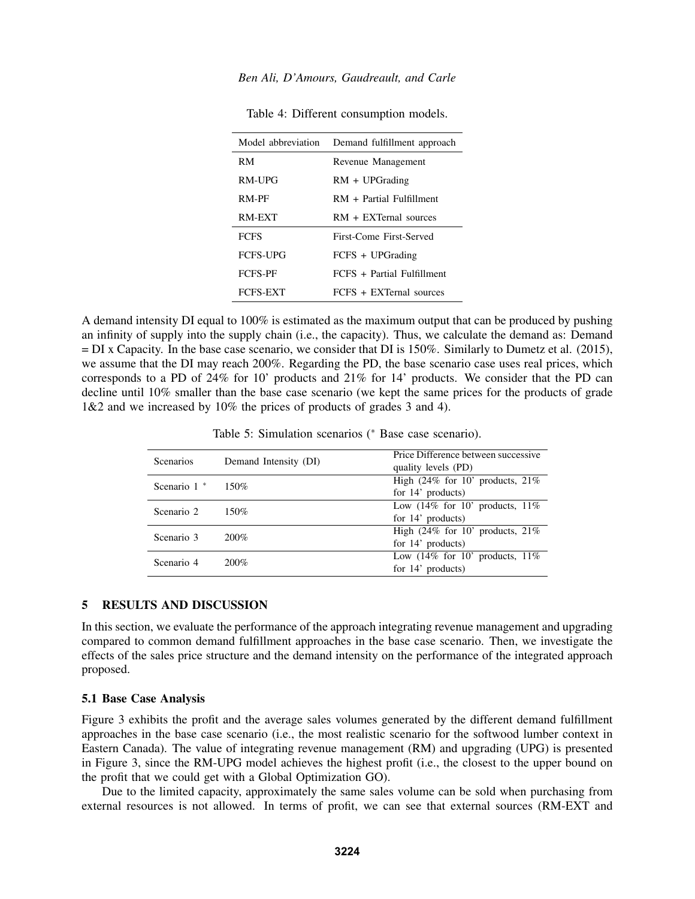| Model abbreviation | Demand fulfillment approach |  |
|--------------------|-----------------------------|--|
| RM                 | Revenue Management          |  |
| RM-UPG             | $RM + UPGrading$            |  |
| RM-PF              | $RM + Partial$ Fulfillment  |  |
| RM-EXT             | $RM + EXTernal$ sources     |  |
| <b>FCFS</b>        | First-Come First-Served     |  |
| <b>FCFS-UPG</b>    | FCFS + UPGrading            |  |
| <b>FCFS-PF</b>     | FCFS + Partial Fulfillment  |  |
| <b>FCFS-EXT</b>    | $FCFS + EXTernal$ sources   |  |

Table 4: Different consumption models.

A demand intensity DI equal to 100% is estimated as the maximum output that can be produced by pushing an infinity of supply into the supply chain (i.e., the capacity). Thus, we calculate the demand as: Demand = DI x Capacity. In the base case scenario, we consider that DI is 150%. Similarly to Dumetz et al. (2015), we assume that the DI may reach 200%. Regarding the PD, the base scenario case uses real prices, which corresponds to a PD of 24% for 10' products and 21% for 14' products. We consider that the PD can decline until 10% smaller than the base case scenario (we kept the same prices for the products of grade 1&2 and we increased by 10% the prices of products of grades 3 and 4).

Table 5: Simulation scenarios (<sup>∗</sup> Base case scenario).

| <b>Scenarios</b> | Demand Intensity (DI) | Price Difference between successive<br>quality levels (PD) |
|------------------|-----------------------|------------------------------------------------------------|
| Scenario $1^*$   | $150\%$               | High $(24\%$ for 10' products, 21%                         |
|                  |                       | for $14'$ products)                                        |
| Scenario 2       | 150%                  | Low $(14\% \text{ for } 10' \text{ products}, 11\%$        |
|                  |                       | for $14'$ products)                                        |
| Scenario 3       | $200\%$               | High $(24\%$ for 10' products, $21\%$                      |
|                  |                       | for $14'$ products)                                        |
| Scenario 4       | $200\%$               | Low $(14\% \text{ for } 10' \text{ products}, 11\%$        |
|                  |                       | for $14'$ products)                                        |
|                  |                       |                                                            |

### 5 RESULTS AND DISCUSSION

In this section, we evaluate the performance of the approach integrating revenue management and upgrading compared to common demand fulfillment approaches in the base case scenario. Then, we investigate the effects of the sales price structure and the demand intensity on the performance of the integrated approach proposed.

### 5.1 Base Case Analysis

Figure 3 exhibits the profit and the average sales volumes generated by the different demand fulfillment approaches in the base case scenario (i.e., the most realistic scenario for the softwood lumber context in Eastern Canada). The value of integrating revenue management (RM) and upgrading (UPG) is presented in Figure 3, since the RM-UPG model achieves the highest profit (i.e., the closest to the upper bound on the profit that we could get with a Global Optimization GO).

Due to the limited capacity, approximately the same sales volume can be sold when purchasing from external resources is not allowed. In terms of profit, we can see that external sources (RM-EXT and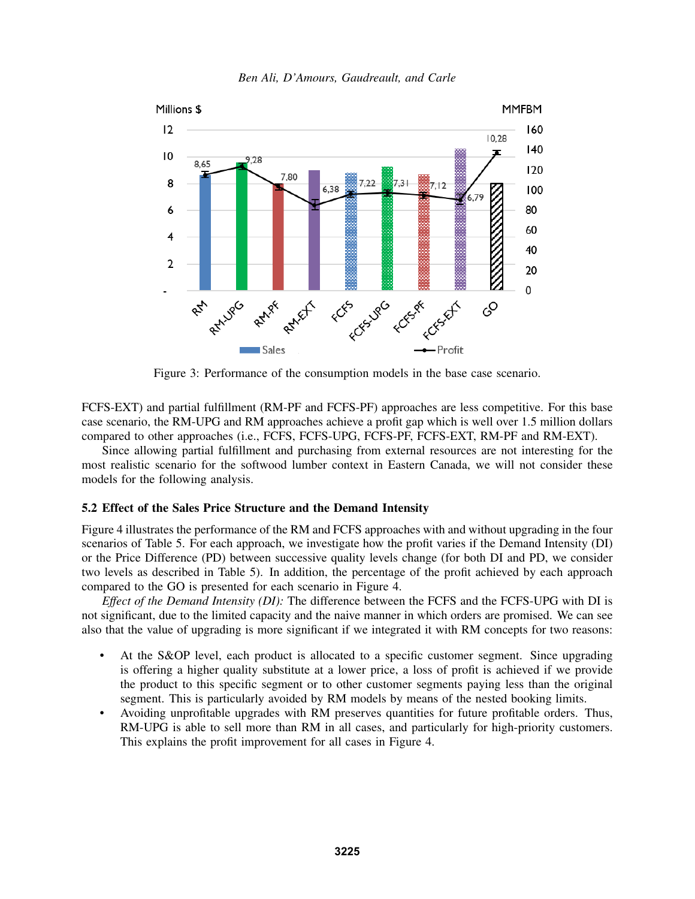

*Ben Ali, D'Amours, Gaudreault, and Carle*

Figure 3: Performance of the consumption models in the base case scenario.

FCFS-EXT) and partial fulfillment (RM-PF and FCFS-PF) approaches are less competitive. For this base case scenario, the RM-UPG and RM approaches achieve a profit gap which is well over 1.5 million dollars compared to other approaches (i.e., FCFS, FCFS-UPG, FCFS-PF, FCFS-EXT, RM-PF and RM-EXT).

Since allowing partial fulfillment and purchasing from external resources are not interesting for the most realistic scenario for the softwood lumber context in Eastern Canada, we will not consider these models for the following analysis.

## 5.2 Effect of the Sales Price Structure and the Demand Intensity

Figure 4 illustrates the performance of the RM and FCFS approaches with and without upgrading in the four scenarios of Table 5. For each approach, we investigate how the profit varies if the Demand Intensity (DI) or the Price Difference (PD) between successive quality levels change (for both DI and PD, we consider two levels as described in Table 5). In addition, the percentage of the profit achieved by each approach compared to the GO is presented for each scenario in Figure 4.

*Effect of the Demand Intensity (DI):* The difference between the FCFS and the FCFS-UPG with DI is not significant, due to the limited capacity and the naive manner in which orders are promised. We can see also that the value of upgrading is more significant if we integrated it with RM concepts for two reasons:

- At the S&OP level, each product is allocated to a specific customer segment. Since upgrading is offering a higher quality substitute at a lower price, a loss of profit is achieved if we provide the product to this specific segment or to other customer segments paying less than the original segment. This is particularly avoided by RM models by means of the nested booking limits.
- Avoiding unprofitable upgrades with RM preserves quantities for future profitable orders. Thus, RM-UPG is able to sell more than RM in all cases, and particularly for high-priority customers. This explains the profit improvement for all cases in Figure 4.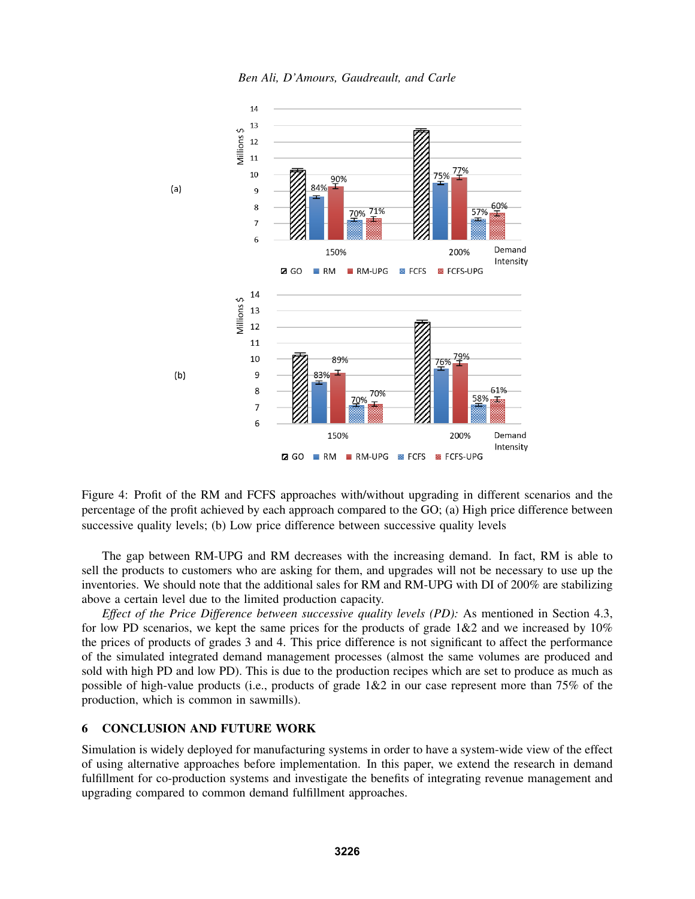



Figure 4: Profit of the RM and FCFS approaches with/without upgrading in different scenarios and the percentage of the profit achieved by each approach compared to the GO; (a) High price difference between successive quality levels; (b) Low price difference between successive quality levels

The gap between RM-UPG and RM decreases with the increasing demand. In fact, RM is able to sell the products to customers who are asking for them, and upgrades will not be necessary to use up the inventories. We should note that the additional sales for RM and RM-UPG with DI of 200% are stabilizing above a certain level due to the limited production capacity.

*Effect of the Price Difference between successive quality levels (PD):* As mentioned in Section 4.3, for low PD scenarios, we kept the same prices for the products of grade  $1&&2$  and we increased by  $10\%$ the prices of products of grades 3 and 4. This price difference is not significant to affect the performance of the simulated integrated demand management processes (almost the same volumes are produced and sold with high PD and low PD). This is due to the production recipes which are set to produce as much as possible of high-value products (i.e., products of grade 1&2 in our case represent more than 75% of the production, which is common in sawmills).

#### 6 CONCLUSION AND FUTURE WORK

Simulation is widely deployed for manufacturing systems in order to have a system-wide view of the effect of using alternative approaches before implementation. In this paper, we extend the research in demand fulfillment for co-production systems and investigate the benefits of integrating revenue management and upgrading compared to common demand fulfillment approaches.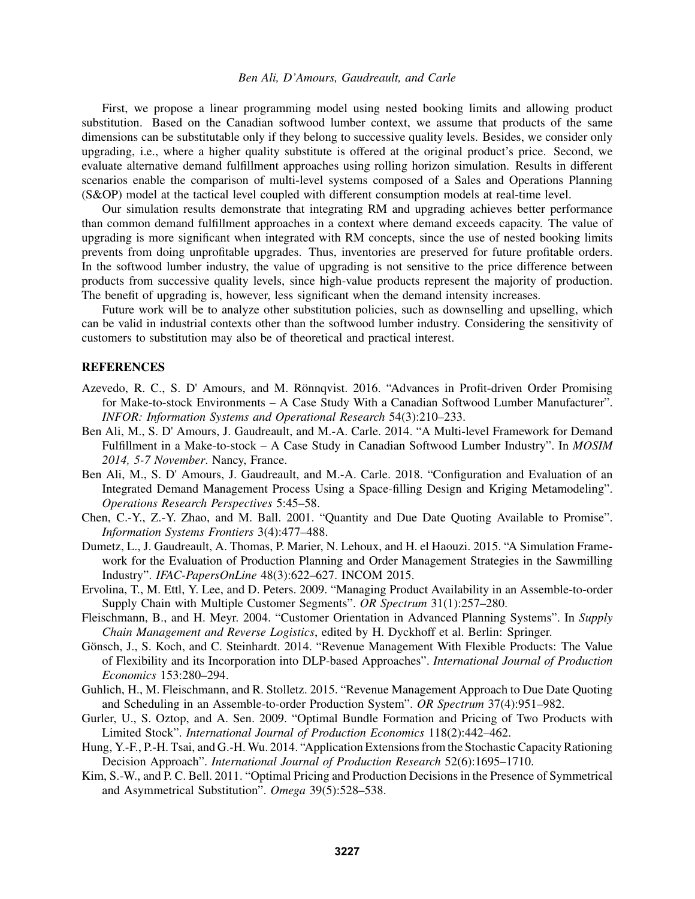First, we propose a linear programming model using nested booking limits and allowing product substitution. Based on the Canadian softwood lumber context, we assume that products of the same dimensions can be substitutable only if they belong to successive quality levels. Besides, we consider only upgrading, i.e., where a higher quality substitute is offered at the original product's price. Second, we evaluate alternative demand fulfillment approaches using rolling horizon simulation. Results in different scenarios enable the comparison of multi-level systems composed of a Sales and Operations Planning (S&OP) model at the tactical level coupled with different consumption models at real-time level.

Our simulation results demonstrate that integrating RM and upgrading achieves better performance than common demand fulfillment approaches in a context where demand exceeds capacity. The value of upgrading is more significant when integrated with RM concepts, since the use of nested booking limits prevents from doing unprofitable upgrades. Thus, inventories are preserved for future profitable orders. In the softwood lumber industry, the value of upgrading is not sensitive to the price difference between products from successive quality levels, since high-value products represent the majority of production. The benefit of upgrading is, however, less significant when the demand intensity increases.

Future work will be to analyze other substitution policies, such as downselling and upselling, which can be valid in industrial contexts other than the softwood lumber industry. Considering the sensitivity of customers to substitution may also be of theoretical and practical interest.

#### REFERENCES

- Azevedo, R. C., S. D' Amours, and M. Rönnqvist. 2016. "Advances in Profit-driven Order Promising for Make-to-stock Environments – A Case Study With a Canadian Softwood Lumber Manufacturer". *INFOR: Information Systems and Operational Research* 54(3):210–233.
- Ben Ali, M., S. D' Amours, J. Gaudreault, and M.-A. Carle. 2014. "A Multi-level Framework for Demand Fulfillment in a Make-to-stock – A Case Study in Canadian Softwood Lumber Industry". In *MOSIM 2014, 5-7 November*. Nancy, France.
- Ben Ali, M., S. D' Amours, J. Gaudreault, and M.-A. Carle. 2018. "Configuration and Evaluation of an Integrated Demand Management Process Using a Space-filling Design and Kriging Metamodeling". *Operations Research Perspectives* 5:45–58.
- Chen, C.-Y., Z.-Y. Zhao, and M. Ball. 2001. "Quantity and Due Date Quoting Available to Promise". *Information Systems Frontiers* 3(4):477–488.
- Dumetz, L., J. Gaudreault, A. Thomas, P. Marier, N. Lehoux, and H. el Haouzi. 2015. "A Simulation Framework for the Evaluation of Production Planning and Order Management Strategies in the Sawmilling Industry". *IFAC-PapersOnLine* 48(3):622–627. INCOM 2015.
- Ervolina, T., M. Ettl, Y. Lee, and D. Peters. 2009. "Managing Product Availability in an Assemble-to-order Supply Chain with Multiple Customer Segments". *OR Spectrum* 31(1):257–280.
- Fleischmann, B., and H. Meyr. 2004. "Customer Orientation in Advanced Planning Systems". In *Supply Chain Management and Reverse Logistics*, edited by H. Dyckhoff et al. Berlin: Springer.
- Gönsch, J., S. Koch, and C. Steinhardt. 2014. "Revenue Management With Flexible Products: The Value of Flexibility and its Incorporation into DLP-based Approaches". *International Journal of Production Economics* 153:280–294.
- Guhlich, H., M. Fleischmann, and R. Stolletz. 2015. "Revenue Management Approach to Due Date Quoting and Scheduling in an Assemble-to-order Production System". *OR Spectrum* 37(4):951–982.
- Gurler, U., S. Oztop, and A. Sen. 2009. "Optimal Bundle Formation and Pricing of Two Products with Limited Stock". *International Journal of Production Economics* 118(2):442–462.
- Hung, Y.-F., P.-H. Tsai, and G.-H. Wu. 2014. "Application Extensions from the Stochastic Capacity Rationing Decision Approach". *International Journal of Production Research* 52(6):1695–1710.
- Kim, S.-W., and P. C. Bell. 2011. "Optimal Pricing and Production Decisions in the Presence of Symmetrical and Asymmetrical Substitution". *Omega* 39(5):528–538.